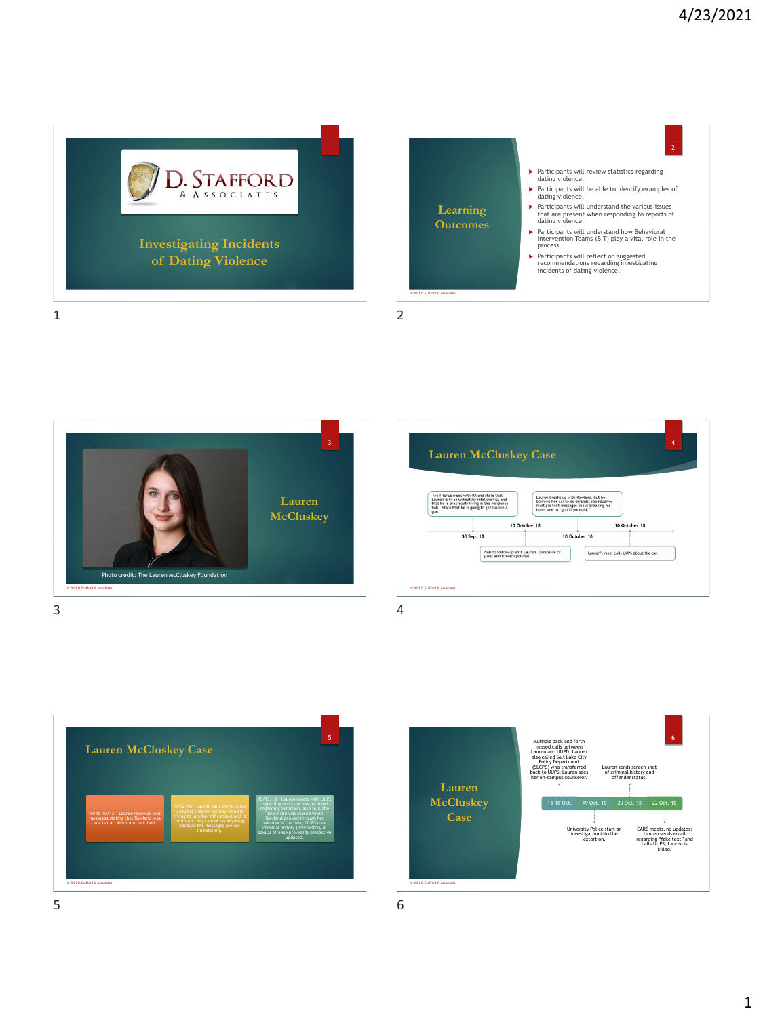









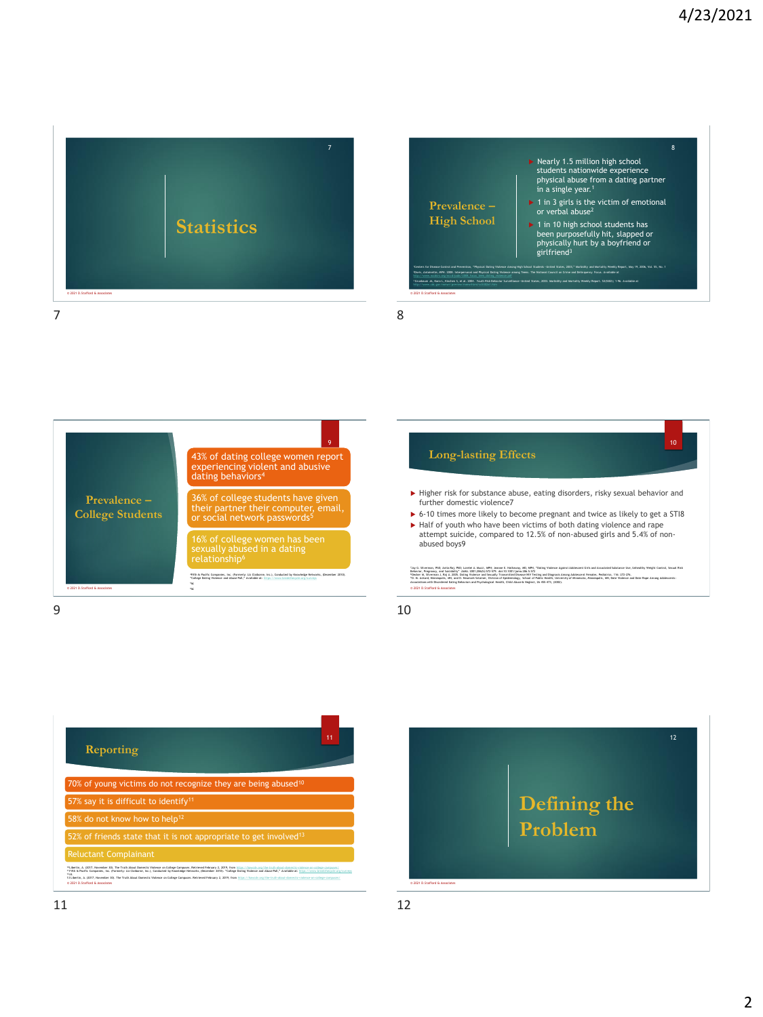











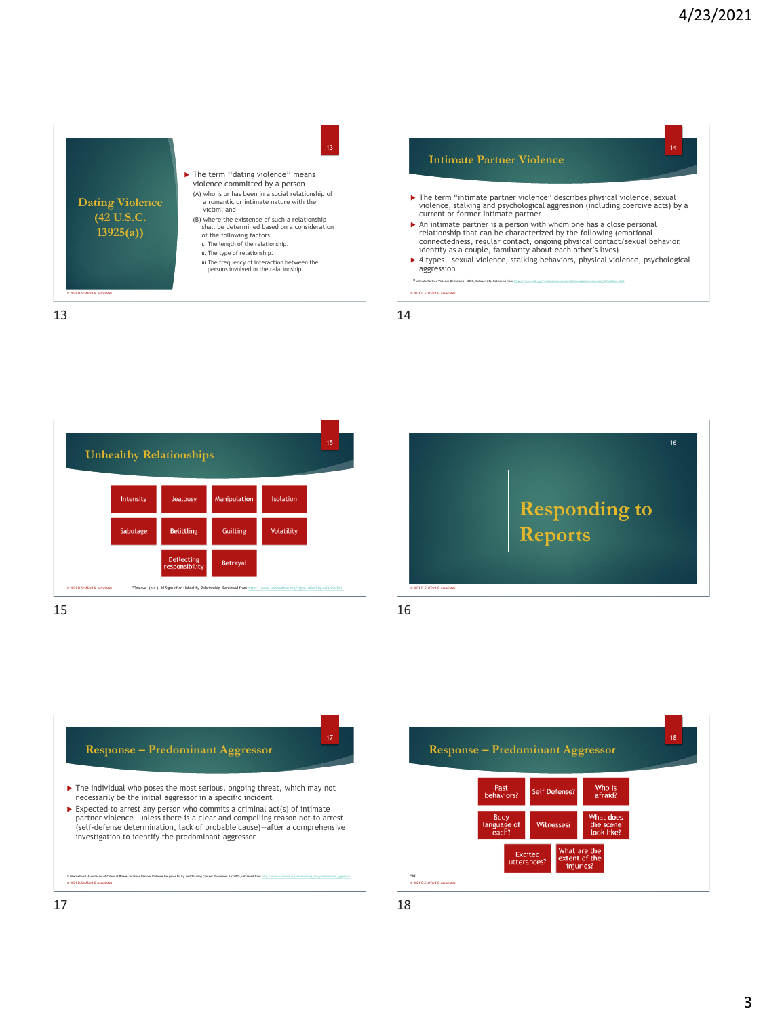













18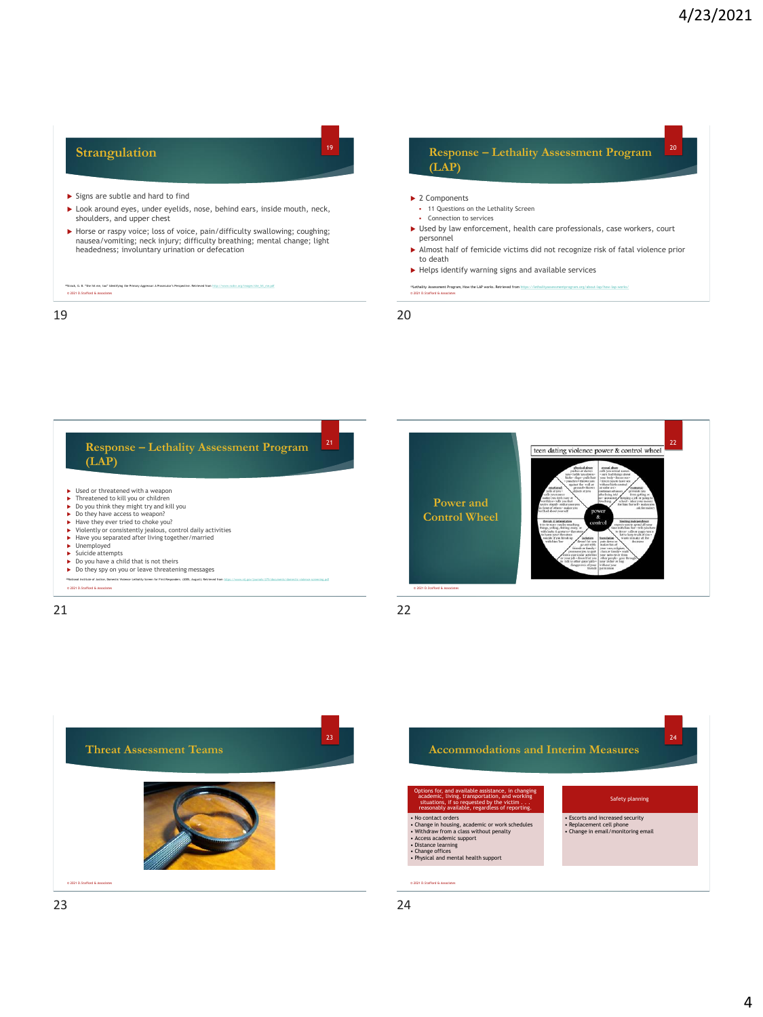## **Strangulation**   $\blacktriangleright$  Signs are subtle and hard to find  $\blacktriangleright$  Look around eyes, under eyelids, nose, behind ears, inside mouth, neck, shoulders, and upper chest Horse or raspy voice; loss of voice, pain/difficulty swallowing; coughing; nausea/vomiting; neck injury; difficulty breathing; mental change; light headedness; involuntary urination or defecation © 2021 D.Stafford & Associates <sup>18</sup>Strack, G. B. "She hit me, too" Identifying the Primary Aggressor: A Prosecutor's Perspective. Retrieved from [http://www.ncdsv.org/images/she\\_hit\\_me.pdf](http://www.ncdsv.org/images/she_hit_me.pdf) <sup>19</sup> **Response – Lethality Assessment Program (LAP)** ▶ 2 Components ▪ 11 Questions on the Lethality Screen • Connection to services Used by law enforcement, health care professionals, case workers, court personnel Almost half of femicide victims did not recognize risk of fatal violence prior to death  $\blacktriangleright$  Helps identify warning signs and available services <sup>9</sup>Lethality Assessment Program, How the LAP works. Retrieved from <u>https://lethalityassessmentprogram.org/about-lap/how-lap-works/</u><br>© 2021 D.Stafford & Associates 20 19 20